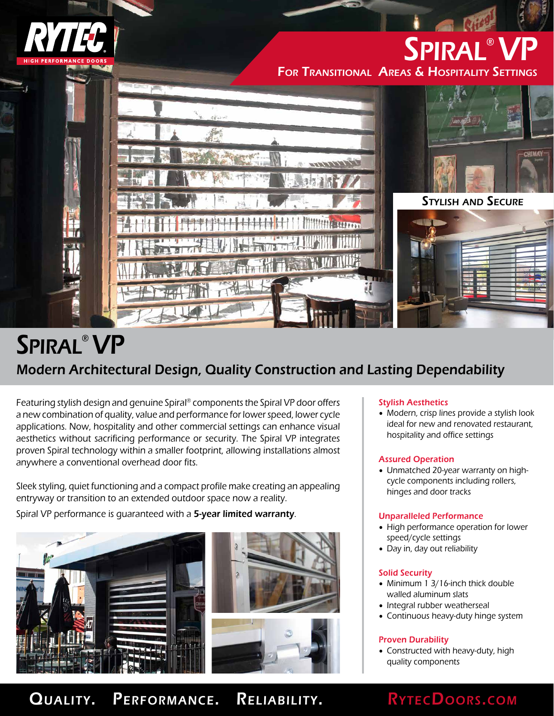

# Spiral® VP For Transitional Areas & Hospitality Settings



# Modern Architectural Design, Quality Construction and Lasting Dependability Spiral® VP

Featuring stylish design and genuine Spiral® components the Spiral VP door offers a new combination of quality, value and performance for lower speed, lower cycle applications. Now, hospitality and other commercial settings can enhance visual aesthetics without sacrificing performance or security. The Spiral VP integrates proven Spiral technology within a smaller footprint, allowing installations almost anywhere a conventional overhead door fits.

Sleek styling, quiet functioning and a compact profile make creating an appealing entryway or transition to an extended outdoor space now a reality.

Spiral VP performance is quaranteed with a 5-year limited warranty.





# Stylish Aesthetics

• Modern, crisp lines provide a stylish look ideal for new and renovated restaurant, hospitality and office settings

# Assured Operation

• Unmatched 20-year warranty on highcycle components including rollers, hinges and door tracks

# Unparalleled Performance

- High performance operation for lower speed/cycle settings
- Day in, day out reliability

# Solid Security

- Minimum 1 3/16-inch thick double walled aluminum slats
- Integral rubber weatherseal
- Continuous heavy-duty hinge system

# Proven Durability

• Constructed with heavy-duty, high quality components

# QUALITY. PERFORMANCE. RELIABILITY. RYTECDOORS.COM